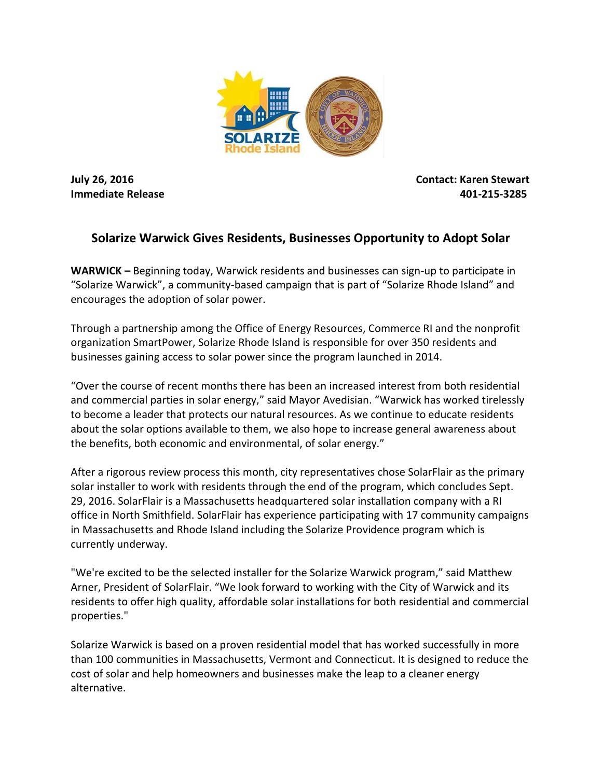

**July 26, 2016 Contact: Karen Stewart Immediate Release 401-215-3285**

## **Solarize Warwick Gives Residents, Businesses Opportunity to Adopt Solar**

**WARWICK –** Beginning today, Warwick residents and businesses can sign-up to participate in "Solarize Warwick", a community-based campaign that is part of "Solarize Rhode Island" and encourages the adoption of solar power.

Through a partnership among the Office of Energy Resources, Commerce RI and the nonprofit organization SmartPower, Solarize Rhode Island is responsible for over 350 residents and businesses gaining access to solar power since the program launched in 2014.

"Over the course of recent months there has been an increased interest from both residential and commercial parties in solar energy," said Mayor Avedisian. "Warwick has worked tirelessly to become a leader that protects our natural resources. As we continue to educate residents about the solar options available to them, we also hope to increase general awareness about the benefits, both economic and environmental, of solar energy."

After a rigorous review process this month, city representatives chose SolarFlair as the primary solar installer to work with residents through the end of the program, which concludes Sept. 29, 2016. SolarFlair is a Massachusetts headquartered solar installation company with a RI office in North Smithfield. SolarFlair has experience participating with 17 community campaigns in Massachusetts and Rhode Island including the Solarize Providence program which is currently underway.

"We're excited to be the selected installer for the Solarize Warwick program," said Matthew Arner, President of SolarFlair. "We look forward to working with the City of Warwick and its residents to offer high quality, affordable solar installations for both residential and commercial properties."

Solarize Warwick is based on a proven residential model that has worked successfully in more than 100 communities in Massachusetts, Vermont and Connecticut. It is designed to reduce the cost of solar and help homeowners and businesses make the leap to a cleaner energy alternative.